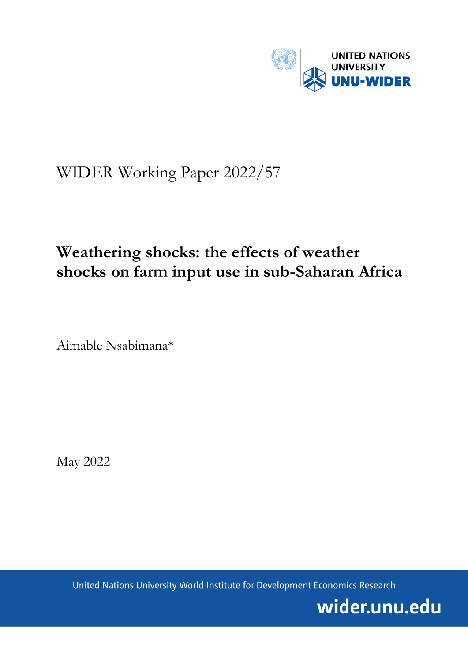

# WIDER Working Paper 2022/57

# **Weathering shocks: the effects of weather shocks on farm input use in sub-Saharan Africa**

Aimable Nsabimana\*

May 2022

United Nations University World Institute for Development Economics Research

wider.unu.edu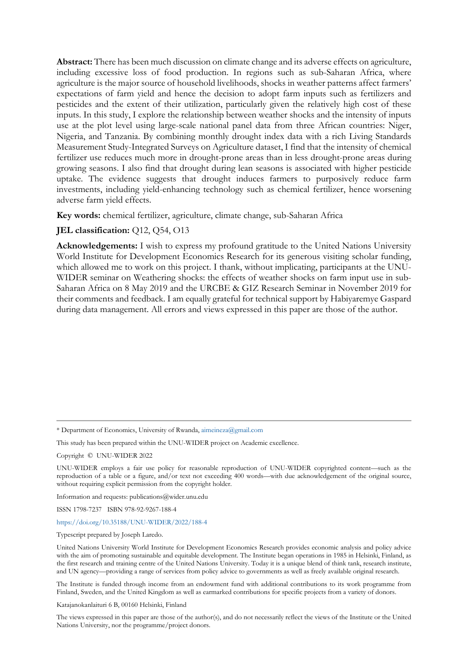**Abstract:** There has been much discussion on climate change and its adverse effects on agriculture, including excessive loss of food production. In regions such as sub-Saharan Africa, where agriculture is the major source of household livelihoods, shocks in weather patterns affect farmers' expectations of farm yield and hence the decision to adopt farm inputs such as fertilizers and pesticides and the extent of their utilization, particularly given the relatively high cost of these inputs. In this study, I explore the relationship between weather shocks and the intensity of inputs use at the plot level using large-scale national panel data from three African countries: Niger, Nigeria, and Tanzania. By combining monthly drought index data with a rich Living Standards Measurement Study-Integrated Surveys on Agriculture dataset, I find that the intensity of chemical fertilizer use reduces much more in drought-prone areas than in less drought-prone areas during growing seasons. I also find that drought during lean seasons is associated with higher pesticide uptake. The evidence suggests that drought induces farmers to purposively reduce farm investments, including yield-enhancing technology such as chemical fertilizer, hence worsening adverse farm yield effects.

**Key words:** chemical fertilizer, agriculture, climate change, sub-Saharan Africa

# **JEL classification:** Q12, Q54, O13

**Acknowledgements:** I wish to express my profound gratitude to the United Nations University World Institute for Development Economics Research for its generous visiting scholar funding, which allowed me to work on this project. I thank, without implicating, participants at the UNU-WIDER seminar on Weathering shocks: the effects of weather shocks on farm input use in sub-Saharan Africa on 8 May 2019 and the URCBE & GIZ Research Seminar in November 2019 for their comments and feedback. I am equally grateful for technical support by Habiyaremye Gaspard during data management. All errors and views expressed in this paper are those of the author.

\* Department of Economics, University of Rwanda, [aimeineza@gmail.com](mailto:aimeineza@gmail.com)

This study has been prepared within the UNU-WIDER project on Academic excellence.

Copyright © UNU-WIDER 2022

UNU-WIDER employs a fair use policy for reasonable reproduction of UNU-WIDER copyrighted content—such as the reproduction of a table or a figure, and/or text not exceeding 400 words—with due acknowledgement of the original source, without requiring explicit permission from the copyright holder.

Information and requests: publications@wider.unu.edu

ISSN 1798-7237 ISBN 978-92-9267-188-4

## <https://doi.org/10.35188/UNU-WIDER/2022/188-4>

Typescript prepared by Joseph Laredo.

United Nations University World Institute for Development Economics Research provides economic analysis and policy advice with the aim of promoting sustainable and equitable development. The Institute began operations in 1985 in Helsinki, Finland, as the first research and training centre of the United Nations University. Today it is a unique blend of think tank, research institute, and UN agency—providing a range of services from policy advice to governments as well as freely available original research.

The Institute is funded through income from an endowment fund with additional contributions to its work programme from Finland, Sweden, and the United Kingdom as well as earmarked contributions for specific projects from a variety of donors.

Katajanokanlaituri 6 B, 00160 Helsinki, Finland

The views expressed in this paper are those of the author(s), and do not necessarily reflect the views of the Institute or the United Nations University, nor the programme/project donors.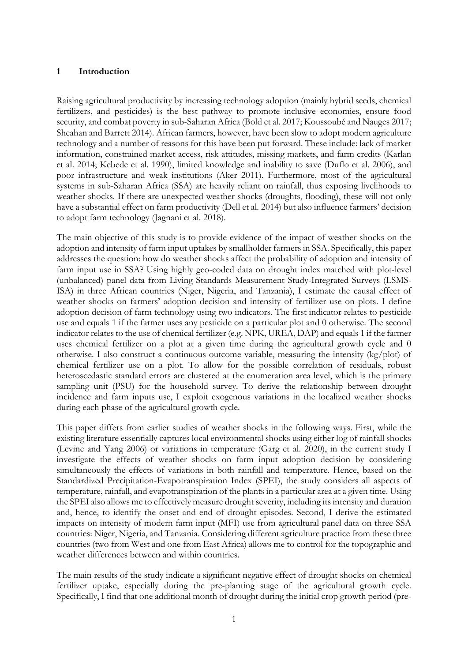# **1 Introduction**

Raising agricultural productivity by increasing technology adoption (mainly hybrid seeds, chemical fertilizers, and pesticides) is the best pathway to promote inclusive economies, ensure food security, and combat poverty in sub-Saharan Africa (Bold et al. 2017; Koussoubé and Nauges 2017; Sheahan and Barrett 2014). African farmers, however, have been slow to adopt modern agriculture technology and a number of reasons for this have been put forward. These include: lack of market information, constrained market access, risk attitudes, missing markets, and farm credits (Karlan et al. 2014; Kebede et al. 1990), limited knowledge and inability to save (Duflo et al. 2006), and poor infrastructure and weak institutions (Aker 2011). Furthermore, most of the agricultural systems in sub-Saharan Africa (SSA) are heavily reliant on rainfall, thus exposing livelihoods to weather shocks. If there are unexpected weather shocks (droughts, flooding), these will not only have a substantial effect on farm productivity (Dell et al. 2014) but also influence farmers' decision to adopt farm technology (Jagnani et al. 2018).

The main objective of this study is to provide evidence of the impact of weather shocks on the adoption and intensity of farm input uptakes by smallholder farmers in SSA. Specifically, this paper addresses the question: how do weather shocks affect the probability of adoption and intensity of farm input use in SSA? Using highly geo-coded data on drought index matched with plot-level (unbalanced) panel data from Living Standards Measurement Study-Integrated Surveys (LSMS-ISA) in three African countries (Niger, Nigeria, and Tanzania), I estimate the causal effect of weather shocks on farmers' adoption decision and intensity of fertilizer use on plots. I define adoption decision of farm technology using two indicators. The first indicator relates to pesticide use and equals 1 if the farmer uses any pesticide on a particular plot and 0 otherwise. The second indicator relates to the use of chemical fertilizer (e.g. NPK, UREA, DAP) and equals 1 if the farmer uses chemical fertilizer on a plot at a given time during the agricultural growth cycle and 0 otherwise. I also construct a continuous outcome variable, measuring the intensity  $(kg/plot)$  of chemical fertilizer use on a plot. To allow for the possible correlation of residuals, robust heteroscedastic standard errors are clustered at the enumeration area level, which is the primary sampling unit (PSU) for the household survey. To derive the relationship between drought incidence and farm inputs use, I exploit exogenous variations in the localized weather shocks during each phase of the agricultural growth cycle.

This paper differs from earlier studies of weather shocks in the following ways. First, while the existing literature essentially captures local environmental shocks using either log of rainfall shocks (Levine and Yang 2006) or variations in temperature (Garg et al. 2020), in the current study I investigate the effects of weather shocks on farm input adoption decision by considering simultaneously the effects of variations in both rainfall and temperature. Hence, based on the Standardized Precipitation-Evapotranspiration Index (SPEI), the study considers all aspects of temperature, rainfall, and evapotranspiration of the plants in a particular area at a given time. Using the SPEI also allows me to effectively measure drought severity, including its intensity and duration and, hence, to identify the onset and end of drought episodes. Second, I derive the estimated impacts on intensity of modern farm input (MFI) use from agricultural panel data on three SSA countries: Niger, Nigeria, and Tanzania. Considering different agriculture practice from these three countries (two from West and one from East Africa) allows me to control for the topographic and weather differences between and within countries.

The main results of the study indicate a significant negative effect of drought shocks on chemical fertilizer uptake, especially during the pre-planting stage of the agricultural growth cycle. Specifically, I find that one additional month of drought during the initial crop growth period (pre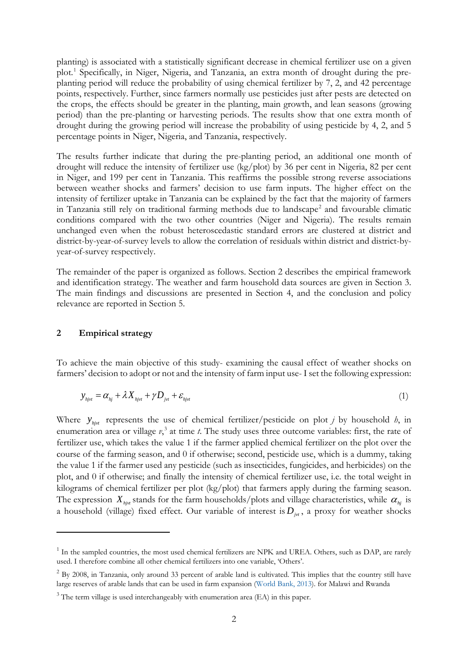planting) is associated with a statistically significant decrease in chemical fertilizer use on a given plot. [1](#page-3-0) Specifically, in Niger, Nigeria, and Tanzania, an extra month of drought during the preplanting period will reduce the probability of using chemical fertilizer by 7, 2, and 42 percentage points, respectively. Further, since farmers normally use pesticides just after pests are detected on the crops, the effects should be greater in the planting, main growth, and lean seasons (growing period) than the pre-planting or harvesting periods. The results show that one extra month of drought during the growing period will increase the probability of using pesticide by 4, 2, and 5 percentage points in Niger, Nigeria, and Tanzania, respectively.

The results further indicate that during the pre-planting period, an additional one month of drought will reduce the intensity of fertilizer use (kg/plot) by 36 per cent in Nigeria, 82 per cent in Niger, and 199 per cent in Tanzania. This reaffirms the possible strong reverse associations between weather shocks and farmers' decision to use farm inputs. The higher effect on the intensity of fertilizer uptake in Tanzania can be explained by the fact that the majority of farmers in Tanzania still rely on traditional farming methods due to landscape<sup>[2](#page-3-1)</sup> and favourable climatic conditions compared with the two other countries (Niger and Nigeria). The results remain unchanged even when the robust heteroscedastic standard errors are clustered at district and district-by-year-of-survey levels to allow the correlation of residuals within district and district-byyear-of-survey respectively.

The remainder of the paper is organized as follows. Section 2 describes the empirical framework and identification strategy. The weather and farm household data sources are given in Section 3. The main findings and discussions are presented in Section 4, and the conclusion and policy relevance are reported in Section 5.

## **2 Empirical strategy**

To achieve the main objective of this study- examining the causal effect of weather shocks on farmers' decision to adopt or not and the intensity of farm input use- I set the following expression:

$$
y_{\text{hjvt}} = \alpha_{\text{hj}} + \lambda X_{\text{hjvt}} + \gamma D_{\text{jvt}} + \varepsilon_{\text{hjvt}} \tag{1}
$$

Where  $y_{\text{hit}}$  represents the use of chemical fertilizer/pesticide on plot *j* by household *h*, in enumeration area or village  $v<sub>i</sub>$ <sup>[3](#page-3-2)</sup> at time *t*. The study uses three outcome variables: first, the rate of fertilizer use, which takes the value 1 if the farmer applied chemical fertilizer on the plot over the course of the farming season, and 0 if otherwise; second, pesticide use, which is a dummy, taking the value 1 if the farmer used any pesticide (such as insecticides, fungicides, and herbicides) on the plot, and 0 if otherwise; and finally the intensity of chemical fertilizer use, i.e. the total weight in kilograms of chemical fertilizer per plot (kg/plot) that farmers apply during the farming season. The expression  $X_{\text{hist}}$  stands for the farm households/plots and village characteristics, while  $\alpha_{\text{hist}}$  is a household (village) fixed effect. Our variable of interest is  $D_{i,j}$ , a proxy for weather shocks

<span id="page-3-0"></span><sup>&</sup>lt;sup>1</sup> In the sampled countries, the most used chemical fertilizers are NPK and UREA. Others, such as DAP, are rarely used. I therefore combine all other chemical fertilizers into one variable, 'Others'.

<span id="page-3-1"></span><sup>&</sup>lt;sup>2</sup> By 2008, in Tanzania, only around 33 percent of arable land is cultivated. This implies that the country still have large reserves of arable lands that can be used in farm expansion [\(World Bank, 2013\)](https://blogs.worldbank.org/africacan/land-of-opportunity-should-tanzania-encourage-more-large-scale-farming). for Malawi and Rwanda

<span id="page-3-2"></span><sup>&</sup>lt;sup>3</sup> The term village is used interchangeably with enumeration area (EA) in this paper.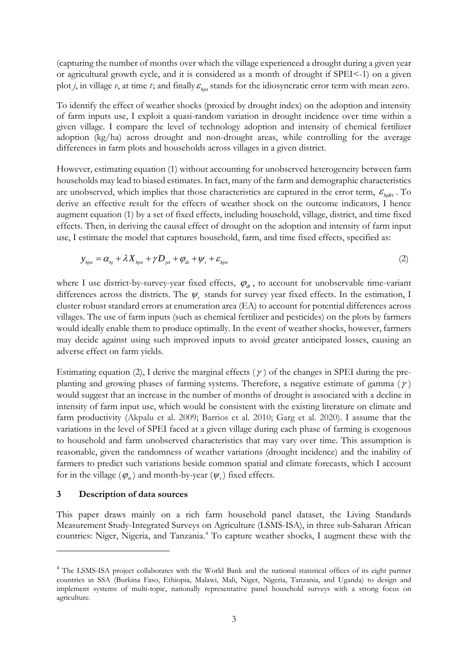(capturing the number of months over which the village experienced a drought during a given year or agricultural growth cycle, and it is considered as a month of drought if SPEI<-1) on a given plot *j*, in village *v*, at time *t*; and finally  $\varepsilon_{\text{div}}$  stands for the idiosyncratic error term with mean zero.

To identify the effect of weather shocks (proxied by drought index) on the adoption and intensity of farm inputs use, I exploit a quasi-random variation in drought incidence over time within a given village. I compare the level of technology adoption and intensity of chemical fertilizer adoption (kg/ha) across drought and non-drought areas, while controlling for the average differences in farm plots and households across villages in a given district.

However, estimating equation (1) without accounting for unobserved heterogeneity between farm households may lead to biased estimates. In fact, many of the farm and demographic characteristics are unobserved, which implies that those characteristics are captured in the error term,  $\varepsilon_{\text{hidrt}}$ . To derive an effective result for the effects of weather shock on the outcome indicators, I hence augment equation (1) by a set of fixed effects, including household, village, district, and time fixed effects. Then, in deriving the causal effect of drought on the adoption and intensity of farm input use, I estimate the model that captures household, farm, and time fixed effects, specified as:

$$
y_{\eta_{\text{yrt}}} = \alpha_{\eta_j} + \lambda X_{\eta_{\text{yrt}}} + \gamma D_{\eta_{\text{yrt}}} + \varphi_{\text{dr}} + \psi_t + \varepsilon_{\eta_{\text{yrt}}} \tag{2}
$$

where I use district-by-survey-year fixed effects,  $\varphi_d$ , to account for unobservable time-variant differences across the districts. The  $\psi$ , stands for survey year fixed effects. In the estimation, I cluster robust standard errors at enumeration area (EA) to account for potential differences across villages. The use of farm inputs (such as chemical fertilizer and pesticides) on the plots by farmers would ideally enable them to produce optimally. In the event of weather shocks, however, farmers may decide against using such improved inputs to avoid greater anticipated losses, causing an adverse effect on farm yields.

Estimating equation (2), I derive the marginal effects ( $\gamma$ ) of the changes in SPEI during the preplanting and growing phases of farming systems. Therefore, a negative estimate of gamma ( $\gamma$ ) would suggest that an increase in the number of months of drought is associated with a decline in intensity of farm input use, which would be consistent with the existing literature on climate and farm productivity (Akpalu et al. 2009; Barrios et al. 2010; Garg et al. 2020). I assume that the variations in the level of SPEI faced at a given village during each phase of farming is exogenous to household and farm unobserved characteristics that may vary over time. This assumption is reasonable, given the randomness of weather variations (drought incidence) and the inability of farmers to predict such variations beside common spatial and climate forecasts, which I account for in the village  $(\varphi_{\nu})$  and month-by-year  $(\psi_{\nu})$  fixed effects.

## **3 Description of data sources**

This paper draws mainly on a rich farm household panel dataset, the Living Standards Measurement Study-Integrated Surveys on Agriculture (LSMS-ISA), in three sub-Saharan African countries: Niger, Nigeria, and Tanzania. [4](#page-4-0) To capture weather shocks, I augment these with the

<span id="page-4-0"></span><sup>&</sup>lt;sup>4</sup> The LSMS-ISA project collaborates with the World Bank and the national statistical offices of its eight partner countries in SSA (Burkina Faso, Ethiopia, Malawi, Mali, Niger, Nigeria, Tanzania, and Uganda) to design and implement systems of multi-topic, nationally representative panel household surveys with a strong focus on agriculture.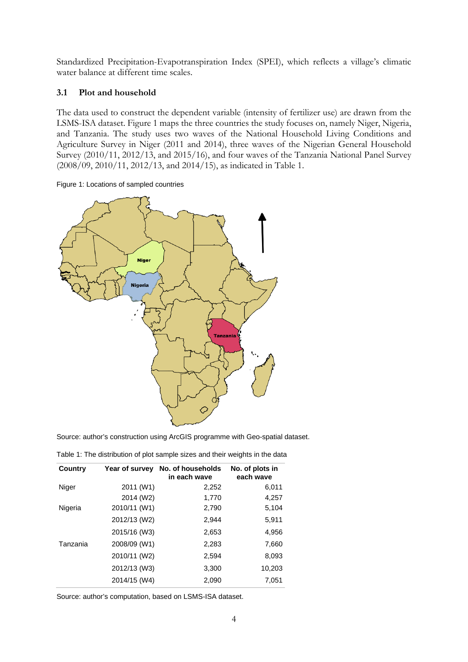Standardized Precipitation-Evapotranspiration Index (SPEI), which reflects a village's climatic water balance at different time scales.

# **3.1 Plot and household**

The data used to construct the dependent variable (intensity of fertilizer use) are drawn from the LSMS-ISA dataset. Figure 1 maps the three countries the study focuses on, namely Niger, Nigeria, and Tanzania. The study uses two waves of the National Household Living Conditions and Agriculture Survey in Niger (2011 and 2014), three waves of the Nigerian General Household Survey (2010/11, 2012/13, and 2015/16), and four waves of the Tanzania National Panel Survey (2008/09, 2010/11, 2012/13, and 2014/15), as indicated in Table 1.





Source: author's construction using ArcGIS programme with Geo-spatial dataset.

Table 1: The distribution of plot sample sizes and their weights in the data

| Country  | Year of survey | No. of households<br>in each wave | No. of plots in<br>each wave |
|----------|----------------|-----------------------------------|------------------------------|
| Niger    | 2011 (W1)      | 2,252                             | 6,011                        |
|          | 2014 (W2)      | 1,770                             | 4,257                        |
| Nigeria  | 2010/11 (W1)   | 2,790                             | 5,104                        |
|          | 2012/13 (W2)   | 2,944                             | 5,911                        |
|          | 2015/16 (W3)   | 2,653                             | 4,956                        |
| Tanzania | 2008/09 (W1)   | 2,283                             | 7,660                        |
|          | 2010/11 (W2)   | 2,594                             | 8,093                        |
|          | 2012/13 (W3)   | 3,300                             | 10,203                       |
|          | 2014/15 (W4)   | 2,090                             | 7,051                        |

Source: author's computation, based on LSMS-ISA dataset.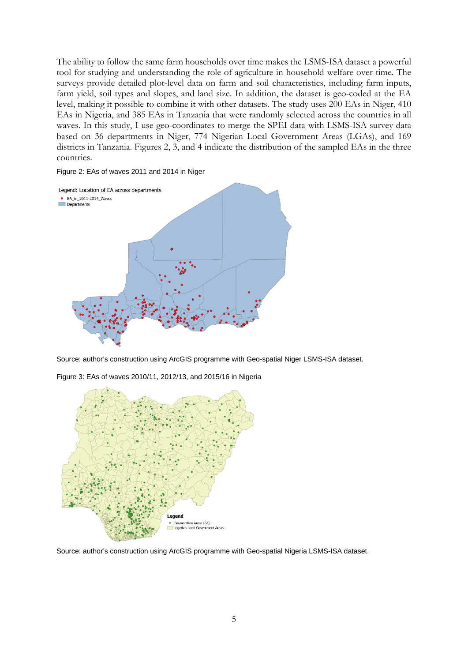The ability to follow the same farm households over time makes the LSMS-ISA dataset a powerful tool for studying and understanding the role of agriculture in household welfare over time. The surveys provide detailed plot-level data on farm and soil characteristics, including farm inputs, farm yield, soil types and slopes, and land size. In addition, the dataset is geo-coded at the EA level, making it possible to combine it with other datasets. The study uses 200 EAs in Niger, 410 EAs in Nigeria, and 385 EAs in Tanzania that were randomly selected across the countries in all waves. In this study, I use geo-coordinates to merge the SPEI data with LSMS-ISA survey data based on 36 departments in Niger, 774 Nigerian Local Government Areas (LGAs), and 169 districts in Tanzania. Figures 2, 3, and 4 indicate the distribution of the sampled EAs in the three countries.

#### Figure 2: EAs of waves 2011 and 2014 in Niger



Source: author's construction using ArcGIS programme with Geo-spatial Niger LSMS-ISA dataset.

Figure 3: EAs of waves 2010/11, 2012/13, and 2015/16 in Nigeria



Source: author's construction using ArcGIS programme with Geo-spatial Nigeria LSMS-ISA dataset.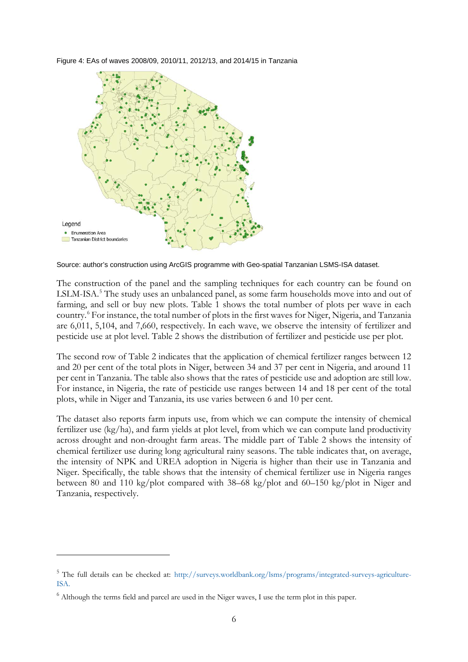Figure 4: EAs of waves 2008/09, 2010/11, 2012/13, and 2014/15 in Tanzania



Source: author's construction using ArcGIS programme with Geo-spatial Tanzanian LSMS-ISA dataset.

The construction of the panel and the sampling techniques for each country can be found on LSLM-ISA. [5](#page-7-0) The study uses an unbalanced panel, as some farm households move into and out of farming, and sell or buy new plots. Table 1 shows the total number of plots per wave in each country.[6](#page-7-1) For instance, the total number of plots in the first waves for Niger, Nigeria, and Tanzania are 6,011, 5,104, and 7,660, respectively. In each wave, we observe the intensity of fertilizer and pesticide use at plot level. Table 2 shows the distribution of fertilizer and pesticide use per plot.

The second row of Table 2 indicates that the application of chemical fertilizer ranges between 12 and 20 per cent of the total plots in Niger, between 34 and 37 per cent in Nigeria, and around 11 per cent in Tanzania. The table also shows that the rates of pesticide use and adoption are still low. For instance, in Nigeria, the rate of pesticide use ranges between 14 and 18 per cent of the total plots, while in Niger and Tanzania, its use varies between 6 and 10 per cent.

The dataset also reports farm inputs use, from which we can compute the intensity of chemical fertilizer use (kg/ha), and farm yields at plot level, from which we can compute land productivity across drought and non-drought farm areas. The middle part of Table 2 shows the intensity of chemical fertilizer use during long agricultural rainy seasons. The table indicates that, on average, the intensity of NPK and UREA adoption in Nigeria is higher than their use in Tanzania and Niger. Specifically, the table shows that the intensity of chemical fertilizer use in Nigeria ranges between 80 and 110 kg/plot compared with 38–68 kg/plot and 60–150 kg/plot in Niger and Tanzania, respectively.

<span id="page-7-0"></span><sup>5</sup> The full details can be checked at: [http://surveys.worldbank.org/lsms/programs/integrated-surveys-agriculture-](http://surveys.worldbank.org/lsms/programs/integrated-surveys-agriculture-ISA)[ISA.](http://surveys.worldbank.org/lsms/programs/integrated-surveys-agriculture-ISA)

<span id="page-7-1"></span><sup>6</sup> Although the terms field and parcel are used in the Niger waves, I use the term plot in this paper.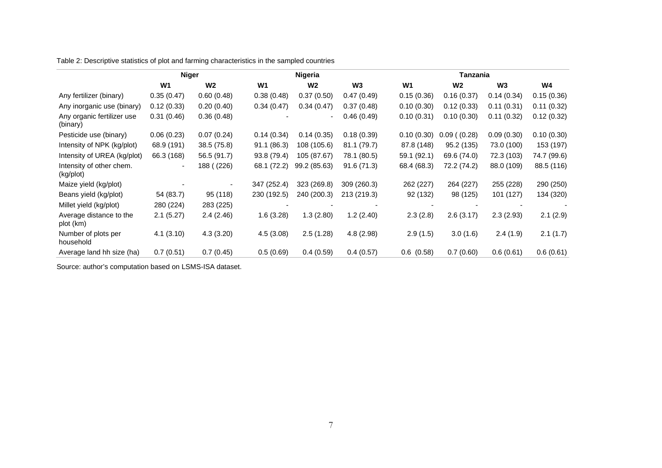Table 2: Descriptive statistics of plot and farming characteristics in the sampled countries

|                                        | <b>Niger</b>   |                |             | <b>Nigeria</b> |                |                | Tanzania          |                |             |
|----------------------------------------|----------------|----------------|-------------|----------------|----------------|----------------|-------------------|----------------|-------------|
|                                        | W <sub>1</sub> | W <sub>2</sub> | W1          | W <sub>2</sub> | W <sub>3</sub> | W1             | W2                | W <sub>3</sub> | W4          |
| Any fertilizer (binary)                | 0.35(0.47)     | 0.60(0.48)     | 0.38(0.48)  | 0.37(0.50)     | 0.47(0.49)     | 0.15(0.36)     | 0.16(0.37)        | 0.14(0.34)     | 0.15(0.36)  |
| Any inorganic use (binary)             | 0.12(0.33)     | 0.20(0.40)     | 0.34(0.47)  | 0.34(0.47)     | 0.37(0.48)     | 0.10(0.30)     | 0.12(0.33)        | 0.11(0.31)     | 0.11(0.32)  |
| Any organic fertilizer use<br>(binary) | 0.31(0.46)     | 0.36(0.48)     |             |                | 0.46(0.49)     | 0.10(0.31)     | 0.10(0.30)        | 0.11(0.32)     | 0.12(0.32)  |
| Pesticide use (binary)                 | 0.06(0.23)     | 0.07(0.24)     | 0.14(0.34)  | 0.14(0.35)     | 0.18(0.39)     | 0.10(0.30)     | $0.09$ ( $(0.28)$ | 0.09(0.30)     | 0.10(0.30)  |
| Intensity of NPK (kg/plot)             | 68.9 (191)     | 38.5 (75.8)    | 91.1(86.3)  | 108 (105.6)    | 81.1 (79.7)    | 87.8 (148)     | 95.2 (135)        | 73.0 (100)     | 153 (197)   |
| Intensity of UREA (kg/plot)            | 66.3 (168)     | 56.5 (91.7)    | 93.8 (79.4) | 105 (87.67)    | 78.1 (80.5)    | 59.1 (92.1)    | 69.6 (74.0)       | 72.3 (103)     | 74.7 (99.6) |
| Intensity of other chem.<br>(kg/plot)  | $\blacksquare$ | 188 ((226)     | 68.1 (72.2) | 99.2 (85.63)   | 91.6(71.3)     | 68.4 (68.3)    | 72.2 (74.2)       | 88.0 (109)     | 88.5 (116)  |
| Maize yield (kg/plot)                  |                |                | 347 (252.4) | 323 (269.8)    | 309 (260.3)    | 262 (227)      | 264 (227)         | 255 (228)      | 290 (250)   |
| Beans yield (kg/plot)                  | 54 (83.7)      | 95 (118)       | 230 (192.5) | 240 (200.3)    | 213 (219.3)    | 92 (132)       | 98 (125)          | 101 (127)      | 134 (320)   |
| Millet yield (kg/plot)                 | 280 (224)      | 283 (225)      |             |                |                |                |                   |                |             |
| Average distance to the<br>plot (km)   | 2.1(5.27)      | 2.4(2.46)      | 1.6(3.28)   | 1.3(2.80)      | 1.2(2.40)      | 2.3(2.8)       | 2.6(3.17)         | 2.3(2.93)      | 2.1(2.9)    |
| Number of plots per<br>household       | 4.1(3.10)      | 4.3(3.20)      | 4.5(3.08)   | 2.5(1.28)      | 4.8 (2.98)     | 2.9(1.5)       | 3.0(1.6)          | 2.4(1.9)       | 2.1(1.7)    |
| Average land hh size (ha)              | 0.7(0.51)      | 0.7(0.45)      | 0.5(0.69)   | 0.4(0.59)      | 0.4(0.57)      | $0.6$ $(0.58)$ | 0.7(0.60)         | 0.6(0.61)      | 0.6(0.61)   |

Source: author's computation based on LSMS-ISA dataset.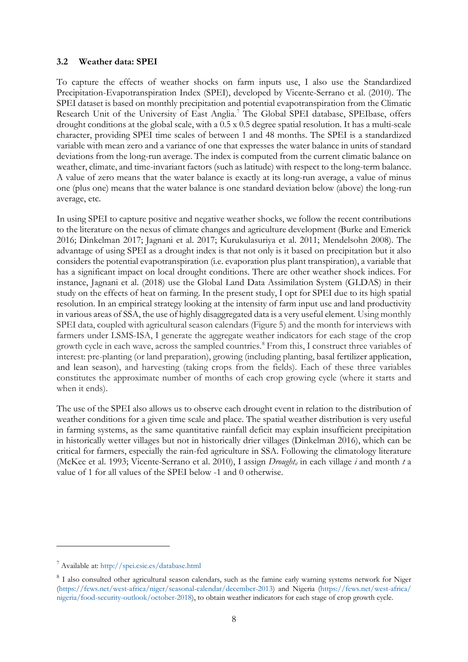## **3.2 Weather data: SPEI**

To capture the effects of weather shocks on farm inputs use, I also use the Standardized Precipitation-Evapotranspiration Index (SPEI), developed by Vicente-Serrano et al. (2010). The SPEI dataset is based on monthly precipitation and potential evapotranspiration from the Climatic Research Unit of the University of East Anglia. [7](#page-9-0) The Global SPEI database, SPEIbase, offers drought conditions at the global scale, with a 0.5 x 0.5 degree spatial resolution. It has a multi-scale character, providing SPEI time scales of between 1 and 48 months. The SPEI is a standardized variable with mean zero and a variance of one that expresses the water balance in units of standard deviations from the long-run average. The index is computed from the current climatic balance on weather, climate, and time-invariant factors (such as latitude) with respect to the long-term balance. A value of zero means that the water balance is exactly at its long-run average, a value of minus one (plus one) means that the water balance is one standard deviation below (above) the long-run average, etc.

In using SPEI to capture positive and negative weather shocks, we follow the recent contributions to the literature on the nexus of climate changes and agriculture development (Burke and Emerick 2016; Dinkelman 2017; Jagnani et al. 2017; Kurukulasuriya et al. 2011; Mendelsohn 2008). The advantage of using SPEI as a drought index is that not only is it based on precipitation but it also considers the potential evapotranspiration (i.e. evaporation plus plant transpiration), a variable that has a significant impact on local drought conditions. There are other weather shock indices. For instance, Jagnani et al. (2018) use the Global Land Data Assimilation System (GLDAS) in their study on the effects of heat on farming. In the present study, I opt for SPEI due to its high spatial resolution. In an empirical strategy looking at the intensity of farm input use and land productivity in various areas of SSA, the use of highly disaggregated data is a very useful element. Using monthly SPEI data, coupled with agricultural season calendars (Figure 5) and the month for interviews with farmers under LSMS-ISA, I generate the aggregate weather indicators for each stage of the crop growth cycle in each wave, across the sampled countries. [8](#page-9-1) From this, I construct three variables of interest: pre-planting (or land preparation), growing (including planting, basal fertilizer application, and lean season), and harvesting (taking crops from the fields). Each of these three variables constitutes the approximate number of months of each crop growing cycle (where it starts and when it ends).

The use of the SPEI also allows us to observe each drought event in relation to the distribution of weather conditions for a given time scale and place. The spatial weather distribution is very useful in farming systems, as the same quantitative rainfall deficit may explain insufficient precipitation in historically wetter villages but not in historically drier villages (Dinkelman 2016), which can be critical for farmers, especially the rain-fed agriculture in SSA. Following the climatology literature (McKee et al. 1993; Vicente-Serrano et al. 2010), I assign *Drought<sub>it</sub>* in each village *i* and month *t* a value of 1 for all values of the SPEI below -1 and 0 otherwise.

<span id="page-9-0"></span><sup>7</sup> Available at[: http://spei.csic.es/database.html](http://spei.csic.es/database.html)

<span id="page-9-1"></span><sup>&</sup>lt;sup>8</sup> I also consulted other agricultural season calendars, such as the famine early warning systems network for Niger [\(https://fews.net/west-africa/niger/seasonal-calendar/december-2013\)](https://fews.net/west-africa/niger/seasonal-calendar/december-2013) and Nigeria [\(https://fews.net/west-africa/](https://fews.net/west-africa/nigeria/food-security-outlook/october-2018) [nigeria/food-security-outlook/october-2018\)](https://fews.net/west-africa/nigeria/food-security-outlook/october-2018), to obtain weather indicators for each stage of crop growth cycle.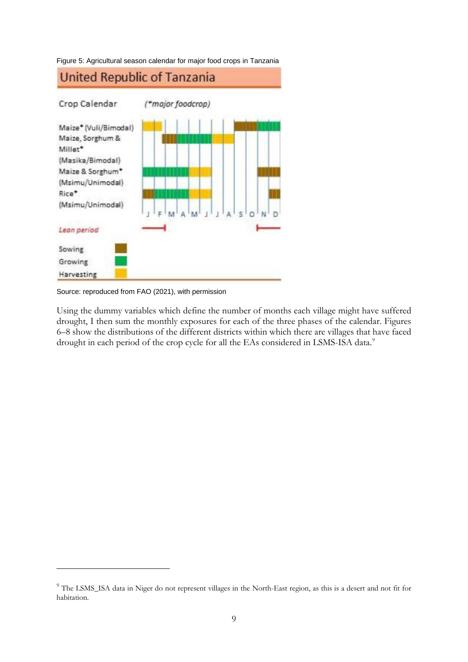



Source: reproduced from FAO (2021), with permission

Using the dummy variables which define the number of months each village might have suffered drought, I then sum the monthly exposures for each of the three phases of the calendar. Figures 6–8 show the distributions of the different districts within which there are villages that have faced drought in each period of the crop cycle for all the EAs considered in LSMS-ISA data.<sup>[9](#page-10-0)</sup>

<span id="page-10-0"></span><sup>&</sup>lt;sup>9</sup> The LSMS\_ISA data in Niger do not represent villages in the North-East region, as this is a desert and not fit for habitation.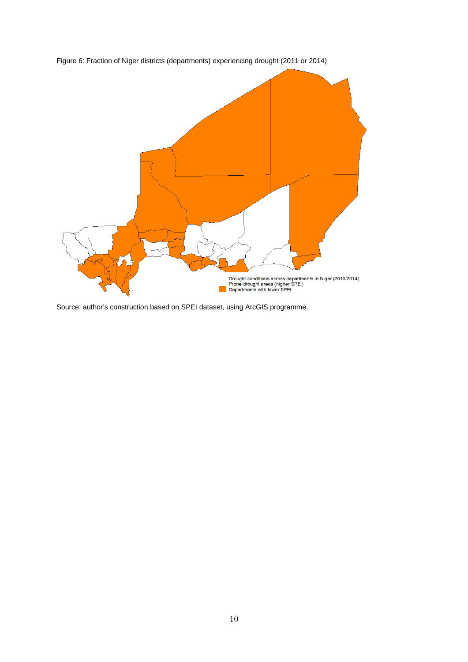

Figure 6: Fraction of Niger districts (departments) experiencing drought (2011 or 2014)

Source: author's construction based on SPEI dataset, using ArcGIS programme.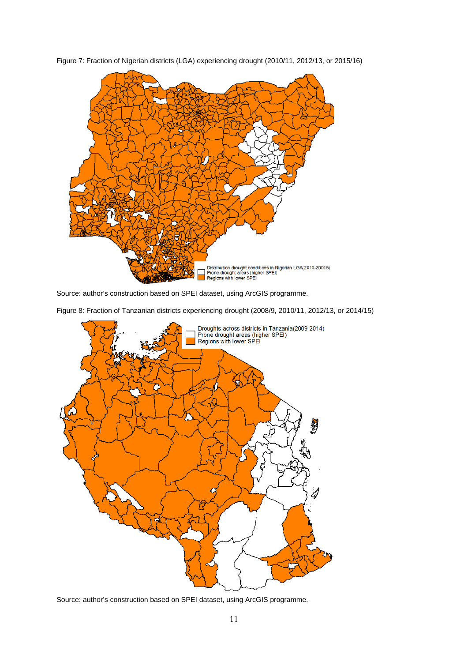

Figure 7: Fraction of Nigerian districts (LGA) experiencing drought (2010/11, 2012/13, or 2015/16)

Source: author's construction based on SPEI dataset, using ArcGIS programme.

Figure 8: Fraction of Tanzanian districts experiencing drought (2008/9, 2010/11, 2012/13, or 2014/15)



Source: author's construction based on SPEI dataset, using ArcGIS programme.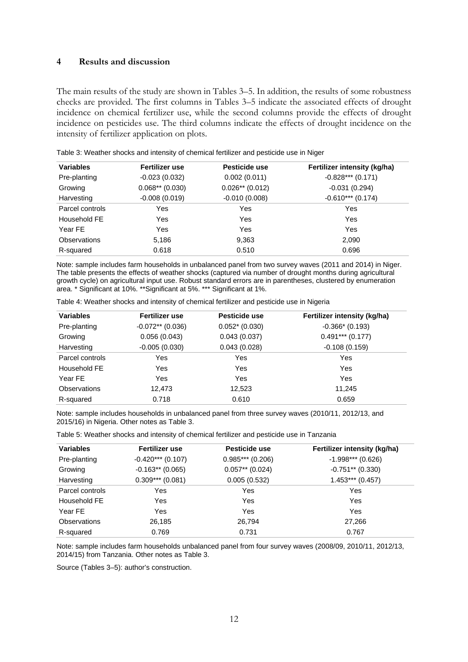### **4 Results and discussion**

The main results of the study are shown in Tables 3–5. In addition, the results of some robustness checks are provided. The first columns in Tables 3–5 indicate the associated effects of drought incidence on chemical fertilizer use, while the second columns provide the effects of drought incidence on pesticides use. The third columns indicate the effects of drought incidence on the intensity of fertilizer application on plots.

| <b>Variables</b>    | <b>Fertilizer use</b> | Pesticide use     | Fertilizer intensity (kg/ha) |
|---------------------|-----------------------|-------------------|------------------------------|
| Pre-planting        | $-0.023(0.032)$       | 0.002(0.011)      | $-0.828***$ (0.171)          |
| Growing             | $0.068**$ (0.030)     | $0.026**$ (0.012) | $-0.031(0.294)$              |
| Harvesting          | $-0.008(0.019)$       | $-0.010(0.008)$   | $-0.610***$ (0.174)          |
| Parcel controls     | Yes                   | Yes               | Yes                          |
| Household FE        | Yes                   | Yes               | Yes                          |
| Year FE             | Yes                   | Yes               | Yes                          |
| <b>Observations</b> | 5,186                 | 9,363             | 2,090                        |
| R-squared           | 0.618                 | 0.510             | 0.696                        |

Table 3: Weather shocks and intensity of chemical fertilizer and pesticide use in Niger

Note: sample includes farm households in unbalanced panel from two survey waves (2011 and 2014) in Niger. The table presents the effects of weather shocks (captured via number of drought months during agricultural growth cycle) on agricultural input use. Robust standard errors are in parentheses, clustered by enumeration area. \* Significant at 10%. \*\*Significant at 5%. \*\*\* Significant at 1%.

| <b>Variables</b>    | Fertilizer use     | Pesticide use    | Fertilizer intensity (kg/ha) |
|---------------------|--------------------|------------------|------------------------------|
| Pre-planting        | $-0.072**$ (0.036) | $0.052* (0.030)$ | $-0.366*$ (0.193)            |
| Growing             | 0.056(0.043)       | 0.043(0.037)     | $0.491***$ (0.177)           |
| Harvesting          | $-0.005(0.030)$    | 0.043(0.028)     | $-0.108(0.159)$              |
| Parcel controls     | Yes                | Yes              | Yes                          |
| Household FE        | Yes                | Yes              | Yes                          |
| Year FE             | Yes                | Yes              | Yes                          |
| <b>Observations</b> | 12,473             | 12,523           | 11,245                       |
| R-squared           | 0.718              | 0.610            | 0.659                        |

Table 4: Weather shocks and intensity of chemical fertilizer and pesticide use in Nigeria

Note: sample includes households in unbalanced panel from three survey waves (2010/11, 2012/13, and 2015/16) in Nigeria. Other notes as Table 3.

| Table 5: Weather shocks and intensity of chemical fertilizer and pesticide use in Tanzania |  |  |  |
|--------------------------------------------------------------------------------------------|--|--|--|
|                                                                                            |  |  |  |

| <b>Variables</b>    | Fertilizer use      | Pesticide use     | Fertilizer intensity (kg/ha) |
|---------------------|---------------------|-------------------|------------------------------|
| Pre-planting        | $-0.420***$ (0.107) | $0.985***(0.206)$ | $-1.998***$ (0.626)          |
| Growing             | $-0.163**$ (0.065)  | $0.057**$ (0.024) | $-0.751**$ (0.330)           |
| Harvesting          | $0.309***$ (0.081)  | 0.005(0.532)      | $1.453***(0.457)$            |
| Parcel controls     | Yes                 | Yes               | Yes                          |
| Household FE        | Yes                 | Yes               | Yes                          |
| Year FE             | Yes                 | Yes               | Yes                          |
| <b>Observations</b> | 26,185              | 26.794            | 27,266                       |
| R-squared           | 0.769               | 0.731             | 0.767                        |

Note: sample includes farm households unbalanced panel from four survey waves (2008/09, 2010/11, 2012/13, 2014/15) from Tanzania. Other notes as Table 3.

Source (Tables 3–5): author's construction.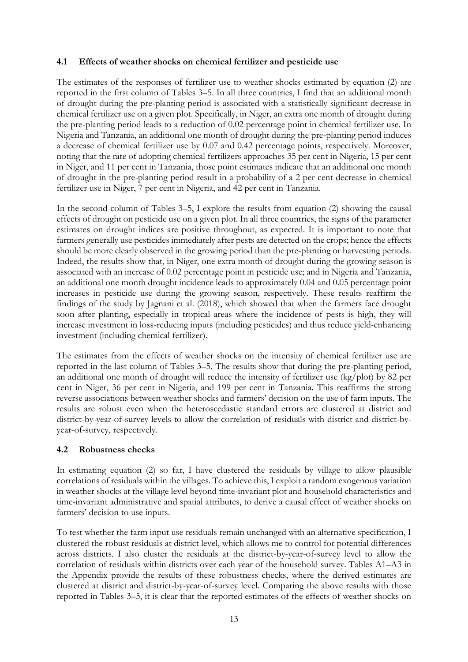# **4.1 Effects of weather shocks on chemical fertilizer and pesticide use**

The estimates of the responses of fertilizer use to weather shocks estimated by equation (2) are reported in the first column of Tables 3–5. In all three countries, I find that an additional month of drought during the pre-planting period is associated with a statistically significant decrease in chemical fertilizer use on a given plot. Specifically, in Niger, an extra one month of drought during the pre-planting period leads to a reduction of 0.02 percentage point in chemical fertilizer use. In Nigeria and Tanzania, an additional one month of drought during the pre-planting period induces a decrease of chemical fertilizer use by 0.07 and 0.42 percentage points, respectively. Moreover, noting that the rate of adopting chemical fertilizers approaches 35 per cent in Nigeria, 15 per cent in Niger, and 11 per cent in Tanzania, those point estimates indicate that an additional one month of drought in the pre-planting period result in a probability of a 2 per cent decrease in chemical fertilizer use in Niger, 7 per cent in Nigeria, and 42 per cent in Tanzania.

In the second column of Tables 3–5, I explore the results from equation (2) showing the causal effects of drought on pesticide use on a given plot. In all three countries, the signs of the parameter estimates on drought indices are positive throughout, as expected. It is important to note that farmers generally use pesticides immediately after pests are detected on the crops; hence the effects should be more clearly observed in the growing period than the pre-planting or harvesting periods. Indeed, the results show that, in Niger, one extra month of drought during the growing season is associated with an increase of 0.02 percentage point in pesticide use; and in Nigeria and Tanzania, an additional one month drought incidence leads to approximately 0.04 and 0.05 percentage point increases in pesticide use during the growing season, respectively. These results reaffirm the findings of the study by Jagnani et al. (2018), which showed that when the farmers face drought soon after planting, especially in tropical areas where the incidence of pests is high, they will increase investment in loss-reducing inputs (including pesticides) and thus reduce yield-enhancing investment (including chemical fertilizer).

The estimates from the effects of weather shocks on the intensity of chemical fertilizer use are reported in the last column of Tables 3–5. The results show that during the pre-planting period, an additional one month of drought will reduce the intensity of fertilizer use (kg/plot) by 82 per cent in Niger, 36 per cent in Nigeria, and 199 per cent in Tanzania. This reaffirms the strong reverse associations between weather shocks and farmers' decision on the use of farm inputs. The results are robust even when the heteroscedastic standard errors are clustered at district and district-by-year-of-survey levels to allow the correlation of residuals with district and district-byyear-of-survey, respectively.

# **4.2 Robustness checks**

In estimating equation (2) so far, I have clustered the residuals by village to allow plausible correlations of residuals within the villages. To achieve this, I exploit a random exogenous variation in weather shocks at the village level beyond time-invariant plot and household characteristics and time-invariant administrative and spatial attributes, to derive a causal effect of weather shocks on farmers' decision to use inputs.

To test whether the farm input use residuals remain unchanged with an alternative specification, I clustered the robust residuals at district level, which allows me to control for potential differences across districts. I also cluster the residuals at the district-by-year-of-survey level to allow the correlation of residuals within districts over each year of the household survey. Tables A1–A3 in the Appendix provide the results of these robustness checks, where the derived estimates are clustered at district and district-by-year-of-survey level. Comparing the above results with those reported in Tables 3–5, it is clear that the reported estimates of the effects of weather shocks on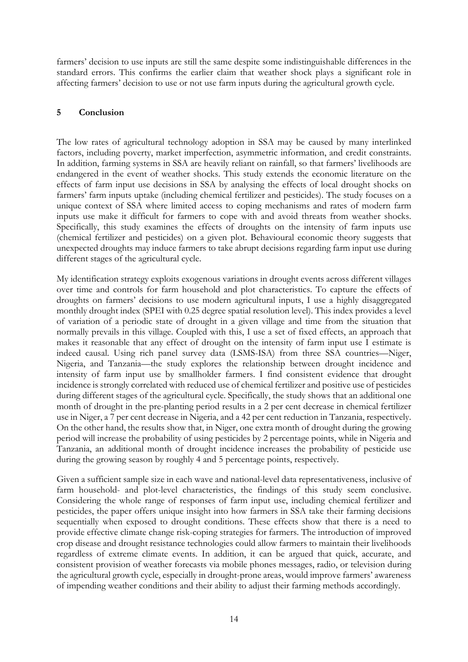farmers' decision to use inputs are still the same despite some indistinguishable differences in the standard errors. This confirms the earlier claim that weather shock plays a significant role in affecting farmers' decision to use or not use farm inputs during the agricultural growth cycle.

# **5 Conclusion**

The low rates of agricultural technology adoption in SSA may be caused by many interlinked factors, including poverty, market imperfection, asymmetric information, and credit constraints. In addition, farming systems in SSA are heavily reliant on rainfall, so that farmers' livelihoods are endangered in the event of weather shocks. This study extends the economic literature on the effects of farm input use decisions in SSA by analysing the effects of local drought shocks on farmers' farm inputs uptake (including chemical fertilizer and pesticides). The study focuses on a unique context of SSA where limited access to coping mechanisms and rates of modern farm inputs use make it difficult for farmers to cope with and avoid threats from weather shocks. Specifically, this study examines the effects of droughts on the intensity of farm inputs use (chemical fertilizer and pesticides) on a given plot. Behavioural economic theory suggests that unexpected droughts may induce farmers to take abrupt decisions regarding farm input use during different stages of the agricultural cycle.

My identification strategy exploits exogenous variations in drought events across different villages over time and controls for farm household and plot characteristics. To capture the effects of droughts on farmers' decisions to use modern agricultural inputs, I use a highly disaggregated monthly drought index (SPEI with 0.25 degree spatial resolution level). This index provides a level of variation of a periodic state of drought in a given village and time from the situation that normally prevails in this village. Coupled with this, I use a set of fixed effects, an approach that makes it reasonable that any effect of drought on the intensity of farm input use I estimate is indeed causal. Using rich panel survey data (LSMS-ISA) from three SSA countries—Niger, Nigeria, and Tanzania—the study explores the relationship between drought incidence and intensity of farm input use by smallholder farmers. I find consistent evidence that drought incidence is strongly correlated with reduced use of chemical fertilizer and positive use of pesticides during different stages of the agricultural cycle. Specifically, the study shows that an additional one month of drought in the pre-planting period results in a 2 per cent decrease in chemical fertilizer use in Niger, a 7 per cent decrease in Nigeria, and a 42 per cent reduction in Tanzania, respectively. On the other hand, the results show that, in Niger, one extra month of drought during the growing period will increase the probability of using pesticides by 2 percentage points, while in Nigeria and Tanzania, an additional month of drought incidence increases the probability of pesticide use during the growing season by roughly 4 and 5 percentage points, respectively.

Given a sufficient sample size in each wave and national-level data representativeness, inclusive of farm household- and plot-level characteristics, the findings of this study seem conclusive. Considering the whole range of responses of farm input use, including chemical fertilizer and pesticides, the paper offers unique insight into how farmers in SSA take their farming decisions sequentially when exposed to drought conditions. These effects show that there is a need to provide effective climate change risk-coping strategies for farmers. The introduction of improved crop disease and drought resistance technologies could allow farmers to maintain their livelihoods regardless of extreme climate events. In addition, it can be argued that quick, accurate, and consistent provision of weather forecasts via mobile phones messages, radio, or television during the agricultural growth cycle, especially in drought-prone areas, would improve farmers' awareness of impending weather conditions and their ability to adjust their farming methods accordingly.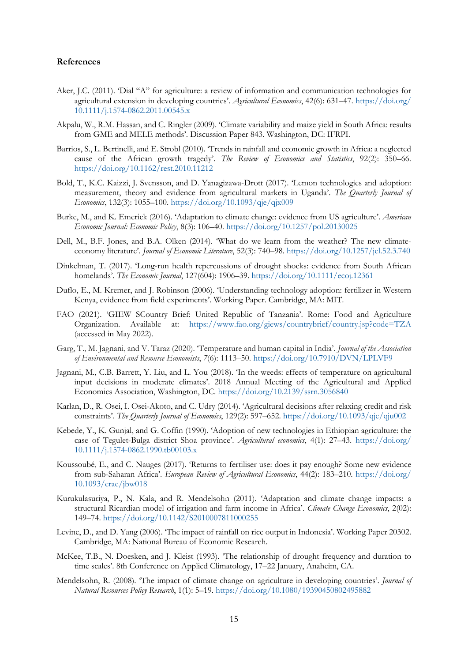### **References**

- Aker, J.C. (2011). 'Dial "A" for agriculture: a review of information and communication technologies for agricultural extension in developing countries'. *Agricultural Economics*, 42(6): 631–47. [https://doi.org/](https://doi.org/10.1111/j.1574-0862.2011.00545.x) [10.1111/j.1574-0862.2011.00545.x](https://doi.org/10.1111/j.1574-0862.2011.00545.x)
- Akpalu, W., R.M. Hassan, and C. Ringler (2009). 'Climate variability and maize yield in South Africa: results from GME and MELE methods'. Discussion Paper 843. Washington, DC: IFRPI.
- Barrios, S., L. Bertinelli, and E. Strobl (2010). 'Trends in rainfall and economic growth in Africa: a neglected cause of the African growth tragedy'. *The Review of Economics and Statistics*, 92(2): 350–66. <https://doi.org/10.1162/rest.2010.11212>
- Bold, T., K.C. Kaizzi, J. Svensson, and D. Yanagizawa-Drott (2017). 'Lemon technologies and adoption: measurement, theory and evidence from agricultural markets in Uganda'. *The Quarterly Journal of Economics*, 132(3): 1055–100. <https://doi.org/10.1093/qje/qjx009>
- Burke, M., and K. Emerick (2016). 'Adaptation to climate change: evidence from US agriculture'. *American Economic Journal: Economic Policy*, 8(3): 106–40. <https://doi.org/10.1257/pol.20130025>
- Dell, M., B.F. Jones, and B.A. Olken (2014). 'What do we learn from the weather? The new climateeconomy literature'. *Journal of Economic Literature*, 52(3): 740–98. <https://doi.org/10.1257/jel.52.3.740>
- Dinkelman, T. (2017). 'Long‐run health repercussions of drought shocks: evidence from South African homelands'. *The Economic Journal*, 127(604): 1906–39. <https://doi.org/10.1111/ecoj.12361>
- Duflo, E., M. Kremer, and J. Robinson (2006). 'Understanding technology adoption: fertilizer in Western Kenya, evidence from field experiments'. Working Paper. Cambridge, MA: MIT.
- FAO (2021). 'GIEW SCountry Brief: United Republic of Tanzania'. Rome: Food and Agriculture Organization. Available at: <https://www.fao.org/giews/countrybrief/country.jsp?code=TZA> (accessed in May 2022).
- Garg, T., M. Jagnani, and V. Taraz (2020). 'Temperature and human capital in India'. *Journal of the Association of Environmental and Resource Economists*, *7*(6): 1113–50. <https://doi.org/10.7910/DVN/LPLVF9>
- Jagnani, M., C.B. Barrett, Y. Liu, and L. You (2018). 'In the weeds: effects of temperature on agricultural input decisions in moderate climates'. 2018 Annual Meeting of the Agricultural and Applied Economics Association, Washington, DC.<https://doi.org/10.2139/ssrn.3056840>
- Karlan, D., R. Osei, I. Osei-Akoto, and C. Udry (2014). 'Agricultural decisions after relaxing credit and risk constraints'. *The Quarterly Journal of Economics*, 129(2): 597–652. <https://doi.org/10.1093/qje/qju002>
- Kebede, Y., K. Gunjal, and G. Coffin (1990). 'Adoption of new technologies in Ethiopian agriculture: the case of Tegulet-Bulga district Shoa province'. *Agricultural economics*, 4(1): 27–43. [https://doi.org/](https://doi.org/10.1111/j.1574-0862.1990.tb00103.x) [10.1111/j.1574-0862.1990.tb00103.x](https://doi.org/10.1111/j.1574-0862.1990.tb00103.x)
- Koussoubé, E., and C. Nauges (2017). 'Returns to fertiliser use: does it pay enough? Some new evidence from sub-Saharan Africa'. *European Review of Agricultural Economics*, 44(2): 183–210. [https://doi.org/](https://doi.org/10.1093/erae/jbw018) [10.1093/erae/jbw018](https://doi.org/10.1093/erae/jbw018)
- Kurukulasuriya, P., N. Kala, and R. Mendelsohn (2011). 'Adaptation and climate change impacts: a structural Ricardian model of irrigation and farm income in Africa'. *Climate Change Economics*, 2(02): 149–74. <https://doi.org/10.1142/S2010007811000255>
- Levine, D., and D. Yang (2006). 'The impact of rainfall on rice output in Indonesia'. Working Paper 20302. Cambridge, MA: National Bureau of Economic Research.
- McKee, T.B., N. Doesken, and J. Kleist (1993). 'The relationship of drought frequency and duration to time scales'. 8th Conference on Applied Climatology, 17–22 January, Anaheim, CA.
- Mendelsohn, R. (2008). 'The impact of climate change on agriculture in developing countries'. *Journal of Natural Resources Policy Research*, 1(1): 5–19. <https://doi.org/10.1080/19390450802495882>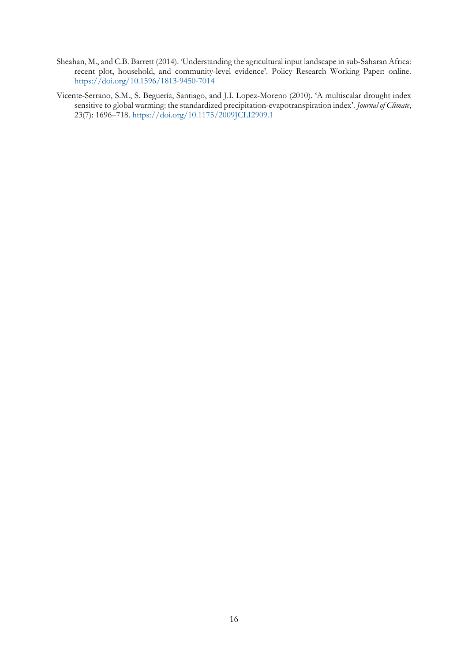- Sheahan, M., and C.B. Barrett (2014). 'Understanding the agricultural input landscape in sub-Saharan Africa: recent plot, household, and community-level evidence'. Policy Research Working Paper: online. <https://doi.org/10.1596/1813-9450-7014>
- Vicente-Serrano, S.M., S. Beguería, Santiago, and J.I. Lopez-Moreno (2010). 'A multiscalar drought index sensitive to global warming: the standardized precipitation-evapotranspiration index'. *Journal of Climate*, 23(7): 1696–718. <https://doi.org/10.1175/2009JCLI2909.1>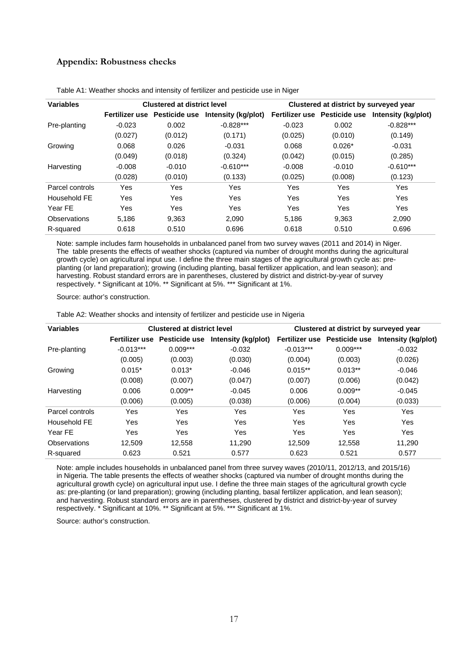## **Appendix: Robustness checks**

| <b>Variables</b>    |            | <b>Clustered at district level</b> |                     | Clustered at district by surveyed year |                              |                     |
|---------------------|------------|------------------------------------|---------------------|----------------------------------------|------------------------------|---------------------|
|                     |            | Fertilizer use Pesticide use       | Intensity (kg/plot) |                                        | Fertilizer use Pesticide use | Intensity (kg/plot) |
| Pre-planting        | $-0.023$   | 0.002                              | $-0.828***$         | $-0.023$                               | 0.002                        | $-0.828***$         |
|                     | (0.027)    | (0.012)                            | (0.171)             | (0.025)                                | (0.010)                      | (0.149)             |
| Growing             | 0.068      | 0.026                              | $-0.031$            | 0.068                                  | $0.026*$                     | $-0.031$            |
|                     | (0.049)    | (0.018)                            | (0.324)             | (0.042)                                | (0.015)                      | (0.285)             |
| Harvesting          | $-0.008$   | $-0.010$                           | $-0.610***$         | $-0.008$                               | $-0.010$                     | $-0.610***$         |
|                     | (0.028)    | (0.010)                            | (0.133)             | (0.025)                                | (0.008)                      | (0.123)             |
| Parcel controls     | Yes        | Yes                                | Yes                 | Yes                                    | Yes                          | <b>Yes</b>          |
| Household FF        | <b>Yes</b> | Yes                                | Yes                 | Yes                                    | Yes                          | <b>Yes</b>          |
| Year FF             | Yes        | Yes                                | Yes                 | Yes                                    | Yes                          | Yes                 |
| <b>Observations</b> | 5.186      | 9,363                              | 2,090               | 5.186                                  | 9,363                        | 2,090               |
| R-squared           | 0.618      | 0.510                              | 0.696               | 0.618                                  | 0.510                        | 0.696               |

Table A1: Weather shocks and intensity of fertilizer and pesticide use in Niger

Note: sample includes farm households in unbalanced panel from two survey waves (2011 and 2014) in Niger. The table presents the effects of weather shocks (captured via number of drought months during the agricultural growth cycle) on agricultural input use. I define the three main stages of the agricultural growth cycle as: preplanting (or land preparation); growing (including planting, basal fertilizer application, and lean season); and harvesting. Robust standard errors are in parentheses, clustered by district and district-by-year of survey respectively. \* Significant at 10%. \*\* Significant at 5%. \*\*\* Significant at 1%.

Source: author's construction.

Table A2: Weather shocks and intensity of fertilizer and pesticide use in Nigeria

| <b>Variables</b> |                | <b>Clustered at district level</b> |                     | Clustered at district by surveyed year |                      |                     |
|------------------|----------------|------------------------------------|---------------------|----------------------------------------|----------------------|---------------------|
|                  | Fertilizer use | <b>Pesticide use</b>               | Intensity (kg/plot) | Fertilizer use                         | <b>Pesticide use</b> | Intensity (kg/plot) |
| Pre-planting     | $-0.013***$    | $0.009***$                         | $-0.032$            | $-0.013***$                            | $0.009***$           | $-0.032$            |
|                  | (0.005)        | (0.003)                            | (0.030)             | (0.004)                                | (0.003)              | (0.026)             |
| Growing          | $0.015*$       | $0.013*$                           | $-0.046$            | $0.015**$                              | $0.013**$            | $-0.046$            |
|                  | (0.008)        | (0.007)                            | (0.047)             | (0.007)                                | (0.006)              | (0.042)             |
| Harvesting       | 0.006          | $0.009**$                          | $-0.045$            | 0.006                                  | $0.009**$            | $-0.045$            |
|                  | (0.006)        | (0.005)                            | (0.038)             | (0.006)                                | (0.004)              | (0.033)             |
| Parcel controls  | Yes            | Yes                                | Yes                 | Yes                                    | Yes                  | Yes                 |
| Household FE     | Yes            | Yes                                | Yes                 | Yes                                    | Yes                  | Yes                 |
| Year FE          | Yes            | Yes                                | Yes                 | Yes                                    | Yes                  | <b>Yes</b>          |
| Observations     | 12,509         | 12,558                             | 11,290              | 12,509                                 | 12,558               | 11,290              |
| R-squared        | 0.623          | 0.521                              | 0.577               | 0.623                                  | 0.521                | 0.577               |
|                  |                |                                    |                     |                                        |                      |                     |

Note: ample includes households in unbalanced panel from three survey waves (2010/11, 2012/13, and 2015/16) in Nigeria. The table presents the effects of weather shocks (captured via number of drought months during the agricultural growth cycle) on agricultural input use. I define the three main stages of the agricultural growth cycle as: pre-planting (or land preparation); growing (including planting, basal fertilizer application, and lean season); and harvesting. Robust standard errors are in parentheses, clustered by district and district-by-year of survey respectively. \* Significant at 10%. \*\* Significant at 5%. \*\*\* Significant at 1%.

Source: author's construction.